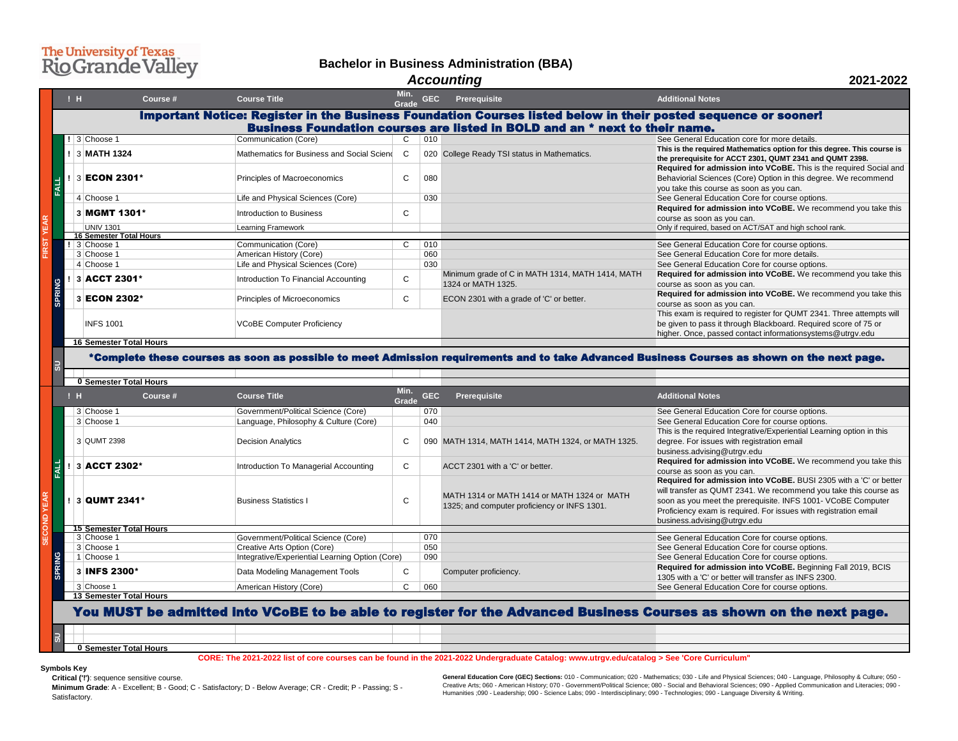| Min.<br><b>Grade</b>         | <b>GEC</b>                                                                                                                     | <b>Prerequisite</b>                                                    | <b>Additional Notes</b>                                                                                                                                                                              |  |  |  |
|------------------------------|--------------------------------------------------------------------------------------------------------------------------------|------------------------------------------------------------------------|------------------------------------------------------------------------------------------------------------------------------------------------------------------------------------------------------|--|--|--|
|                              | s Foundation Courses listed below in their posted sequence or sooner!<br>urses are listed in BOLD and an * next to their name. |                                                                        |                                                                                                                                                                                                      |  |  |  |
| $\mathsf{C}$<br>$\mathsf{C}$ | 010                                                                                                                            | 020 College Ready TSI status in Mathematics.                           | See General Education core for more details.<br>This is the required Mathematics option for this degree. This course is<br>the prerequisite for ACCT 2301, QUMT 2341 and QUMT 2398.                  |  |  |  |
| C                            | 080                                                                                                                            |                                                                        | <b>Required for admission into VCoBE.</b> This is the required Social and<br>Behaviorial Sciences (Core) Option in this degree. We recommend<br>you take this course as soon as you can.             |  |  |  |
|                              | 030                                                                                                                            |                                                                        | See General Education Core for course options.<br>Required for admission into VCoBE. We recommend you take this                                                                                      |  |  |  |
| $\mathsf{C}$                 |                                                                                                                                |                                                                        | course as soon as you can.<br>Only if required, based on ACT/SAT and high school rank.                                                                                                               |  |  |  |
|                              |                                                                                                                                |                                                                        |                                                                                                                                                                                                      |  |  |  |
| $\mathsf{C}$                 | 010                                                                                                                            |                                                                        | See General Education Core for course options.                                                                                                                                                       |  |  |  |
|                              | 060                                                                                                                            |                                                                        | See General Education Core for more details.                                                                                                                                                         |  |  |  |
|                              | 030                                                                                                                            |                                                                        | See General Education Core for course options.                                                                                                                                                       |  |  |  |
| $\mathsf{C}$                 |                                                                                                                                | Minimum grade of C in MATH 1314, MATH 1414, MATH<br>1324 or MATH 1325. | Required for admission into VCoBE. We recommend you take this<br>course as soon as you can.                                                                                                          |  |  |  |
| $\mathsf{C}$                 |                                                                                                                                | ECON 2301 with a grade of 'C' or better.                               | Required for admission into VCoBE. We recommend you take this<br>course as soon as you can.                                                                                                          |  |  |  |
|                              |                                                                                                                                |                                                                        | This exam is required to register for QUMT 2341. Three attempts will<br>be given to pass it through Blackboard. Required score of 75 or<br>higher. Once, passed contact informationsystems@utrgv.edu |  |  |  |

### take Advanced Business Courses as shown on the next page.

|               |                                                                                                                                                                                               | !H | Course #                                           | <b>Course Title</b>                                                               | Min.<br><b>Grade</b> | <b>GEC</b> | <b>Prerequisite</b>                                                                                           | <b>Additional Notes</b>                                                                                                                                                                                                                                                                                                                                                                                                                                                                             |
|---------------|-----------------------------------------------------------------------------------------------------------------------------------------------------------------------------------------------|----|----------------------------------------------------|-----------------------------------------------------------------------------------|----------------------|------------|---------------------------------------------------------------------------------------------------------------|-----------------------------------------------------------------------------------------------------------------------------------------------------------------------------------------------------------------------------------------------------------------------------------------------------------------------------------------------------------------------------------------------------------------------------------------------------------------------------------------------------|
|               | Important Notice: Register in the Business Foundation Courses listed below in their posted sequence or sooner!<br>Business Foundation courses are listed in BOLD and an * next to their name. |    |                                                    |                                                                                   |                      |            |                                                                                                               |                                                                                                                                                                                                                                                                                                                                                                                                                                                                                                     |
|               |                                                                                                                                                                                               |    | 3 Choose 1                                         | Communication (Core)                                                              | C.                   | 010        |                                                                                                               | See General Education core for more details.<br>This is the required Mathematics option for this degree                                                                                                                                                                                                                                                                                                                                                                                             |
|               |                                                                                                                                                                                               |    | 3 MATH 1324                                        | Mathematics for Business and Social Sciend                                        | $\mathsf{C}$         |            | 020 College Ready TSI status in Mathematics.                                                                  | the prerequisite for ACCT 2301, QUMT 2341 and QUMT<br>Required for admission into VCoBE. This is the red                                                                                                                                                                                                                                                                                                                                                                                            |
| <b>FALL</b>   |                                                                                                                                                                                               |    | 3 ECON 2301*                                       | <b>Principles of Macroeconomics</b>                                               |                      | 080        |                                                                                                               | Behaviorial Sciences (Core) Option in this degree. We<br>you take this course as soon as you can.                                                                                                                                                                                                                                                                                                                                                                                                   |
|               |                                                                                                                                                                                               |    | 4 Choose 1                                         | Life and Physical Sciences (Core)                                                 |                      | 030        |                                                                                                               | See General Education Core for course options.                                                                                                                                                                                                                                                                                                                                                                                                                                                      |
| $\mathbf{R}$  |                                                                                                                                                                                               |    | 3 MGMT 1301*                                       | <b>Introduction to Business</b>                                                   | C.                   |            |                                                                                                               | Required for admission into VCoBE. We recomme<br>course as soon as you can.                                                                                                                                                                                                                                                                                                                                                                                                                         |
|               |                                                                                                                                                                                               |    | <b>UNIV 1301</b><br><b>16 Semester Total Hours</b> | <b>Learning Framework</b>                                                         |                      |            |                                                                                                               | Only if required, based on ACT/SAT and high school rank.                                                                                                                                                                                                                                                                                                                                                                                                                                            |
|               |                                                                                                                                                                                               |    | 3 Choose 1                                         | <b>Communication (Core)</b>                                                       |                      | 010        |                                                                                                               | See General Education Core for course options.                                                                                                                                                                                                                                                                                                                                                                                                                                                      |
|               |                                                                                                                                                                                               |    | 3 Choose 1                                         | American History (Core)                                                           |                      | 060        |                                                                                                               | See General Education Core for more details.                                                                                                                                                                                                                                                                                                                                                                                                                                                        |
|               |                                                                                                                                                                                               |    | 4 Choose 1                                         | Life and Physical Sciences (Core)                                                 |                      | 030        |                                                                                                               | See General Education Core for course options.                                                                                                                                                                                                                                                                                                                                                                                                                                                      |
|               |                                                                                                                                                                                               |    | 3 ACCT 2301*                                       | Introduction To Financial Accounting                                              | $\mathsf{C}$         |            | Minimum grade of C in MATH 1314, MATH 1414, MATH<br>1324 or MATH 1325.                                        | Required for admission into VCoBE. We recomme<br>course as soon as you can.                                                                                                                                                                                                                                                                                                                                                                                                                         |
| <b>SPRING</b> |                                                                                                                                                                                               |    | 3 ECON 2302*                                       | <b>Principles of Microeconomics</b>                                               | C                    |            | ECON 2301 with a grade of 'C' or better.                                                                      | Required for admission into VCoBE. We recomme<br>course as soon as you can.                                                                                                                                                                                                                                                                                                                                                                                                                         |
|               |                                                                                                                                                                                               |    | <b>INFS 1001</b>                                   | <b>VCoBE Computer Proficiency</b>                                                 |                      |            |                                                                                                               | This exam is required to register for QUMT 2341. Thre<br>be given to pass it through Blackboard. Required sco<br>higher. Once, passed contact informationsystems@u                                                                                                                                                                                                                                                                                                                                  |
|               |                                                                                                                                                                                               |    | <b>16 Semester Total Hours</b>                     |                                                                                   |                      |            |                                                                                                               |                                                                                                                                                                                                                                                                                                                                                                                                                                                                                                     |
| $\vec{v}$     | *Complete these courses as soon as possible to meet Admission requirements and to take Advanced Business Courses as shown on the nex                                                          |    |                                                    |                                                                                   |                      |            |                                                                                                               |                                                                                                                                                                                                                                                                                                                                                                                                                                                                                                     |
|               |                                                                                                                                                                                               |    | <b>0 Semester Total Hours</b>                      |                                                                                   |                      |            |                                                                                                               |                                                                                                                                                                                                                                                                                                                                                                                                                                                                                                     |
|               |                                                                                                                                                                                               | !H | <b>Course #</b>                                    | <b>Course Title</b>                                                               | Min.<br><b>Grade</b> | <b>GEC</b> | <b>Prerequisite</b>                                                                                           | <b>Additional Notes</b>                                                                                                                                                                                                                                                                                                                                                                                                                                                                             |
|               |                                                                                                                                                                                               |    |                                                    |                                                                                   |                      |            |                                                                                                               |                                                                                                                                                                                                                                                                                                                                                                                                                                                                                                     |
|               |                                                                                                                                                                                               |    | 3 Choose 1                                         | Government/Political Science (Core)                                               |                      | 070        |                                                                                                               | See General Education Core for course options.                                                                                                                                                                                                                                                                                                                                                                                                                                                      |
|               |                                                                                                                                                                                               |    | 3 Choose 1                                         | Language, Philosophy & Culture (Core)                                             |                      | 040        |                                                                                                               | See General Education Core for course options.                                                                                                                                                                                                                                                                                                                                                                                                                                                      |
|               |                                                                                                                                                                                               |    | 3 QUMT 2398                                        | <b>Decision Analytics</b>                                                         |                      |            | 090 MATH 1314, MATH 1414, MATH 1324, or MATH 1325.                                                            | degree. For issues with registration email<br>business.advising@utrgv.edu                                                                                                                                                                                                                                                                                                                                                                                                                           |
|               |                                                                                                                                                                                               |    | 3 ACCT 2302*                                       | <b>Introduction To Managerial Accounting</b>                                      | $\mathsf{C}$         |            | ACCT 2301 with a 'C' or better.                                                                               | course as soon as you can.                                                                                                                                                                                                                                                                                                                                                                                                                                                                          |
| EAR           |                                                                                                                                                                                               |    | 3 QUMT 2341*                                       | <b>Business Statistics I</b>                                                      | C.                   |            | MATH 1314 or MATH 1414 or MATH 1324 or MATH<br>1325; and computer proficiency or INFS 1301.                   | business.advising@utrgv.edu                                                                                                                                                                                                                                                                                                                                                                                                                                                                         |
|               |                                                                                                                                                                                               |    | <b>15 Semester Total Hours</b>                     |                                                                                   |                      |            |                                                                                                               |                                                                                                                                                                                                                                                                                                                                                                                                                                                                                                     |
|               |                                                                                                                                                                                               |    | 3 Choose 1                                         | Government/Political Science (Core)                                               |                      | 070        |                                                                                                               | See General Education Core for course options.                                                                                                                                                                                                                                                                                                                                                                                                                                                      |
|               |                                                                                                                                                                                               |    | 3 Choose 1                                         | Creative Arts Option (Core)                                                       |                      | 050        |                                                                                                               | See General Education Core for course options.                                                                                                                                                                                                                                                                                                                                                                                                                                                      |
|               |                                                                                                                                                                                               |    | Choose 1<br>3 INFS 2300*                           | Integrative/Experiential Learning Option (Core)<br>Data Modeling Management Tools | $\mathsf{C}$         | 090        | Computer proficiency.                                                                                         | See General Education Core for course options.                                                                                                                                                                                                                                                                                                                                                                                                                                                      |
| <b>SPRING</b> |                                                                                                                                                                                               |    | 3 Choose 1                                         | American History (Core)                                                           | $\mathsf{C}$         | 060        |                                                                                                               | This is the required Integrative/Experiential Learning of<br>Required for admission into VCoBE. We recomme<br>Required for admission into VCoBE. BUSI 2305 wi<br>will transfer as QUMT 2341. We recommend you take<br>soon as you meet the prerequisite. INFS 1001- VCoB<br>Proficiency exam is required. For issues with registrat<br>Required for admission into VCoBE. Beginning Fall<br>1305 with a 'C' or better will transfer as INFS 2300.<br>See General Education Core for course options. |
|               |                                                                                                                                                                                               |    | <b>13 Semester Total Hours</b>                     |                                                                                   |                      |            | You MUST be admitted into VCoBE to be able to register for the Advanced Business Courses as shown on the next |                                                                                                                                                                                                                                                                                                                                                                                                                                                                                                     |

**0 Semester Total Hours** 

| Min.<br>Grade | <b>GEC</b> | <b>Prerequisite</b>                                                                         | <b>Additional Notes</b>                                                                                                                                                                                                                                                                                         |
|---------------|------------|---------------------------------------------------------------------------------------------|-----------------------------------------------------------------------------------------------------------------------------------------------------------------------------------------------------------------------------------------------------------------------------------------------------------------|
|               | 070        |                                                                                             | See General Education Core for course options.                                                                                                                                                                                                                                                                  |
|               | 040        |                                                                                             | See General Education Core for course options.                                                                                                                                                                                                                                                                  |
|               |            |                                                                                             | This is the required Integrative/Experiential Learning option in this                                                                                                                                                                                                                                           |
| $\mathsf{C}$  |            | 090 MATH 1314, MATH 1414, MATH 1324, or MATH 1325.                                          | degree. For issues with registration email                                                                                                                                                                                                                                                                      |
|               |            |                                                                                             | business.advising@utrgv.edu                                                                                                                                                                                                                                                                                     |
| C             |            | ACCT 2301 with a 'C' or better.                                                             | <b>Required for admission into VCoBE.</b> We recommend you take this                                                                                                                                                                                                                                            |
|               |            |                                                                                             | course as soon as you can.                                                                                                                                                                                                                                                                                      |
| C             |            | MATH 1314 or MATH 1414 or MATH 1324 or MATH<br>1325; and computer proficiency or INFS 1301. | <b>Required for admission into VCoBE.</b> BUSI 2305 with a 'C' or better<br>will transfer as QUMT 2341. We recommend you take this course as<br>soon as you meet the prerequisite. INFS 1001- VCoBE Computer<br>Proficiency exam is required. For issues with registration email<br>business.advising@utrgv.edu |
|               |            |                                                                                             |                                                                                                                                                                                                                                                                                                                 |
|               | 070        |                                                                                             | See General Education Core for course options.                                                                                                                                                                                                                                                                  |
|               | 050        |                                                                                             | See General Education Core for course options.                                                                                                                                                                                                                                                                  |
| e)            | 090        |                                                                                             | See General Education Core for course options.                                                                                                                                                                                                                                                                  |
| C             |            | Computer proficiency.                                                                       | Required for admission into VCoBE. Beginning Fall 2019, BCIS                                                                                                                                                                                                                                                    |
|               |            |                                                                                             | 1305 with a 'C' or better will transfer as INFS 2300.                                                                                                                                                                                                                                                           |
|               | 060        |                                                                                             | See General Education Core for course options.                                                                                                                                                                                                                                                                  |
|               |            |                                                                                             |                                                                                                                                                                                                                                                                                                                 |

## ed Business Courses as shown on the next page.

# The University of Texas<br>Rio Grande Valley

### **Bachelor in Business Administration (BBA)** *Accounting*

**CORE: The 2021-2022 list of core courses can be found in the 2021-2022 Undergraduate Catalog: www.utrgv.edu/catalog > See 'Core Curriculum"**

**Symbols Key**

**Critical ('!')**: sequence sensitive course. **Minimum Grade**: A - Excellent; B - Good; C - Satisfactory; D - Below Average; CR - Credit; P - Passing; S - Satisfactory.

**General Education Core (GEC) Sections:** 010 - Communication; 020 - Mathematics; 030 - Life and Physical Sciences; 040 - Language, Philosophy & Culture; 050 - Creative Arts; 060 - American History; 070 - Government/Political Science; 080 - Social and Behavioral Sciences; 090 - Applied Communication and Literacies; 090 - Humanities ;090 - Leadership; 090 - Science Labs; 090 - Interdisciplinary; 090 - Technologies; 090 - Language Diversity & Writing.